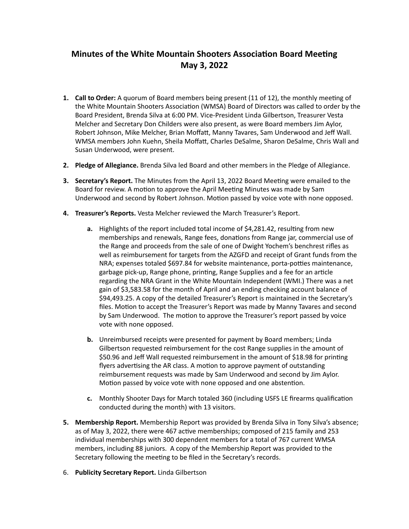## **Minutes of the White Mountain Shooters Association Board Meeting May 3, 2022**

- 1. **Call to Order:** A quorum of Board members being present (11 of 12), the monthly meeting of the White Mountain Shooters Association (WMSA) Board of Directors was called to order by the Board President, Brenda Silva at 6:00 PM. Vice-President Linda Gilbertson, Treasurer Vesta Melcher and Secretary Don Childers were also present, as were Board members Jim Aylor, Robert Johnson, Mike Melcher, Brian Moffatt, Manny Tavares, Sam Underwood and Jeff Wall. WMSA members John Kuehn, Sheila Moffatt, Charles DeSalme, Sharon DeSalme, Chris Wall and Susan Underwood, were present.
- **2.** Pledge of Allegiance. Brenda Silva led Board and other members in the Pledge of Allegiance.
- **3.** Secretary's Report. The Minutes from the April 13, 2022 Board Meeting were emailed to the Board for review. A motion to approve the April Meeting Minutes was made by Sam Underwood and second by Robert Johnson. Motion passed by voice vote with none opposed.
- **4. Treasurer's Reports.** Vesta Melcher reviewed the March Treasurer's Report.
	- **a.** Highlights of the report included total income of \$4,281.42, resulting from new memberships and renewals, Range fees, donations from Range jar, commercial use of the Range and proceeds from the sale of one of Dwight Yochem's benchrest rifles as well as reimbursement for targets from the AZGFD and receipt of Grant funds from the NRA; expenses totaled \$697.84 for website maintenance, porta-potties maintenance, garbage pick-up, Range phone, printing, Range Supplies and a fee for an article regarding the NRA Grant in the White Mountain Independent (WMI.) There was a net gain of \$3,583.58 for the month of April and an ending checking account balance of \$94,493.25. A copy of the detailed Treasurer's Report is maintained in the Secretary's files. Motion to accept the Treasurer's Report was made by Manny Tavares and second by Sam Underwood. The motion to approve the Treasurer's report passed by voice vote with none opposed.
	- **b.** Unreimbursed receipts were presented for payment by Board members; Linda Gilbertson requested reimbursement for the cost Range supplies in the amount of \$50.96 and Jeff Wall requested reimbursement in the amount of \$18.98 for printing flyers advertising the AR class. A motion to approve payment of outstanding reimbursement requests was made by Sam Underwood and second by Jim Aylor. Motion passed by voice vote with none opposed and one abstention.
	- **c.** Monthly Shooter Days for March totaled 360 (including USFS LE firearms qualification conducted during the month) with 13 visitors.
- **5.** Membership Report. Membership Report was provided by Brenda Silva in Tony Silva's absence; as of May 3, 2022, there were 467 active memberships; composed of 215 family and 253 individual memberships with 300 dependent members for a total of 767 current WMSA members, including 88 juniors. A copy of the Membership Report was provided to the Secretary following the meeting to be filed in the Secretary's records.
- 6. **Publicity Secretary Report.** Linda Gilbertson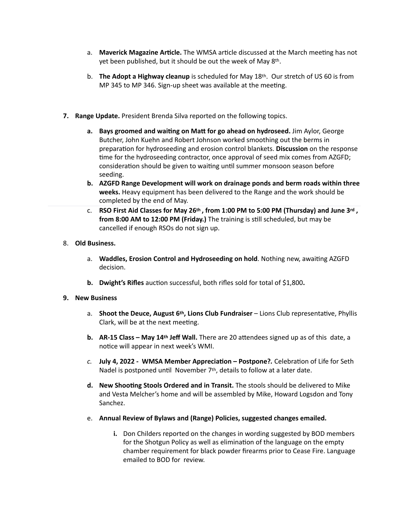- a. **Maverick Magazine Article.** The WMSA article discussed at the March meeting has not yet been published, but it should be out the week of May  $8<sup>th</sup>$ .
- b. **The Adopt a Highway cleanup** is scheduled for May 18<sup>th</sup>. Our stretch of US 60 is from MP 345 to MP 346. Sign-up sheet was available at the meeting.
- **7. Range Update.** President Brenda Silva reported on the following topics.
	- **a.** Bays groomed and waiting on Matt for go ahead on hydroseed. Jim Aylor, George Butcher, John Kuehn and Robert Johnson worked smoothing out the berms in preparation for hydroseeding and erosion control blankets. Discussion on the response time for the hydroseeding contractor, once approval of seed mix comes from AZGFD; consideration should be given to waiting until summer monsoon season before seeding.
	- **b.** AZGFD Range Development will work on drainage ponds and berm roads within three **weeks.** Heavy equipment has been delivered to the Range and the work should be completed by the end of May.
	- c. **RSO First Aid Classes for May 26<sup>th</sup>, from 1:00 PM to 5:00 PM (Thursday) and June 3<sup>rd</sup>, from 8:00 AM to 12:00 PM (Friday.)** The training is still scheduled, but may be cancelled if enough RSOs do not sign up.

## 8. Old Business.

- a. **Waddles, Erosion Control and Hydroseeding on hold**. Nothing new, awaiting AZGFD decision.
- **b.** Dwight's Rifles auction successful, both rifles sold for total of \$1,800.

## **9. New Business**

- a. **Shoot the Deuce, August 6th, Lions Club Fundraiser** Lions Club representative, Phyllis Clark, will be at the next meeting.
- **b.** AR-15 Class May 14<sup>th</sup> Jeff Wall. There are 20 attendees signed up as of this date, a notice will appear in next week's WMI.
- *c.* **July 4, 2022 - WMSA Member Appreciation – Postpone?***.* Celebration of Life for Seth Nadel is postponed until November 7<sup>th</sup>, details to follow at a later date.
- d. New Shooting Stools Ordered and in Transit. The stools should be delivered to Mike and Vesta Melcher's home and will be assembled by Mike, Howard Logsdon and Tony Sanchez.
- e. Annual Review of Bylaws and (Range) Policies, suggested changes emailed.
	- **i.** Don Childers reported on the changes in wording suggested by BOD members for the Shotgun Policy as well as elimination of the language on the empty chamber requirement for black powder firearms prior to Cease Fire. Language emailed to BOD for review.